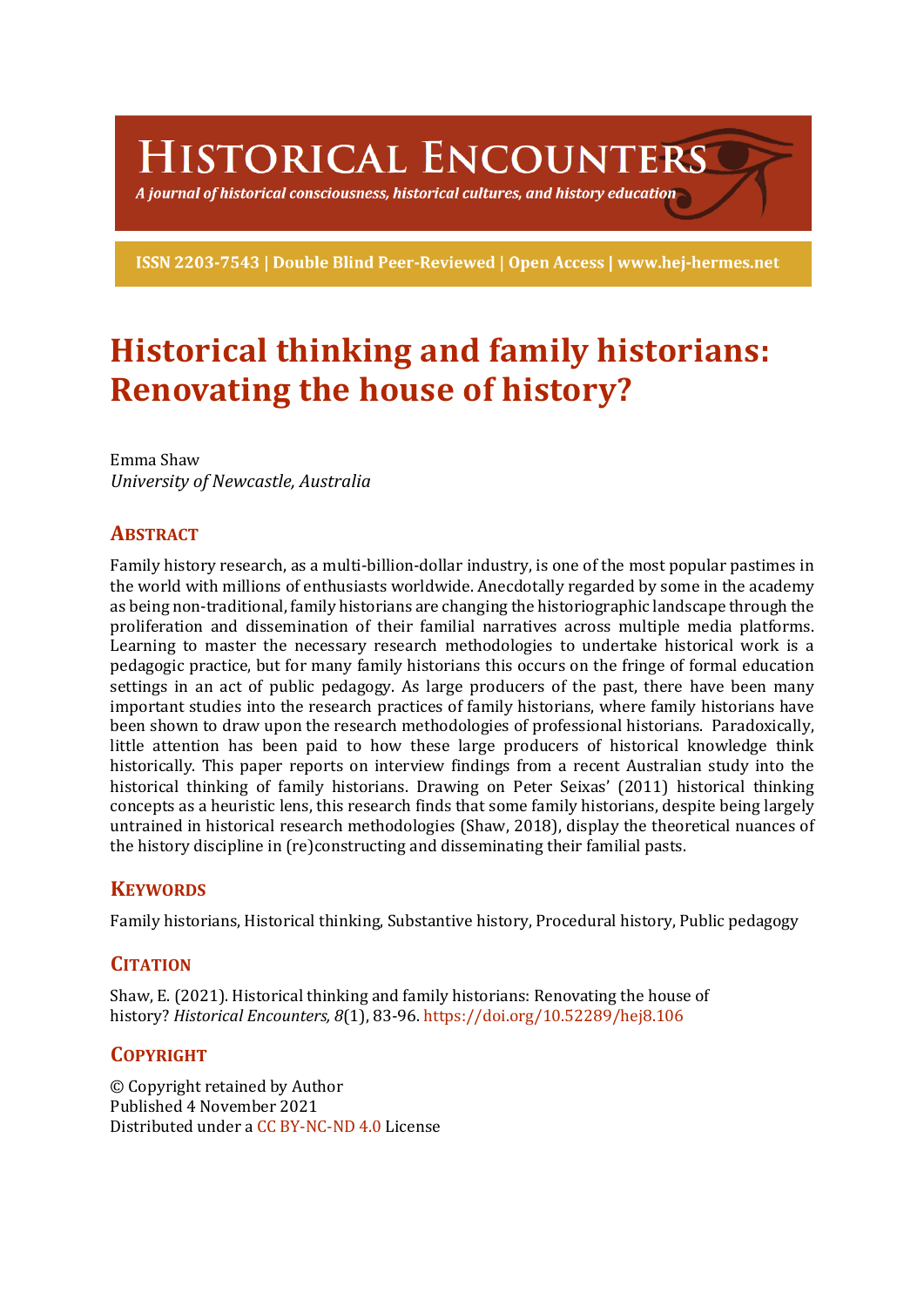HISTORICAL ENCOUNTERS

A journal of historical consciousness, historical cultures, and history education  $\geq$ 

ISSN 2203-7543 | Double Blind Peer-Reviewed | Open Access | www.hej-hermes.net

# **Historical thinking and family historians: Renovating the house of history?**

Emma Shaw *University of Newcastle, Australia*

# **ABSTRACT**

Family history research, as a multi-billion-dollar industry, is one of the most popular pastimes in the world with millions of enthusiasts worldwide. Anecdotally regarded by some in the academy as being non-traditional, family historians are changing the historiographic landscape through the proliferation and dissemination of their familial narratives across multiple media platforms. Learning to master the necessary research methodologies to undertake historical work is a pedagogic practice, but for many family historians this occurs on the fringe of formal education settings in an act of public pedagogy. As large producers of the past, there have been many important studies into the research practices of family historians, where family historians have been shown to draw upon the research methodologies of professional historians. Paradoxically, little attention has been paid to how these large producers of historical knowledge think historically. This paper reports on interview findings from a recent Australian study into the historical thinking of family historians. Drawing on Peter Seixas' (2011) historical thinking concepts as a heuristic lens, this research finds that some family historians, despite being largely untrained in historical research methodologies (Shaw, 2018), display the theoretical nuances of the history discipline in (re)constructing and disseminating their familial pasts.

# **KEYWORDS**

Family historians, Historical thinking, Substantive history, Procedural history, Public pedagogy

# **CITATION**

Shaw, E. (2021). Historical thinking and family historians: Renovating the house of history? *Historical Encounters, 8*(1), 83-96. https://doi.org/10.52289/hej8.106

# **COPYRIGHT**

© Copyright retained by Author Published 4 November 2021 Distributed under a CC BY-NC-ND 4.0 License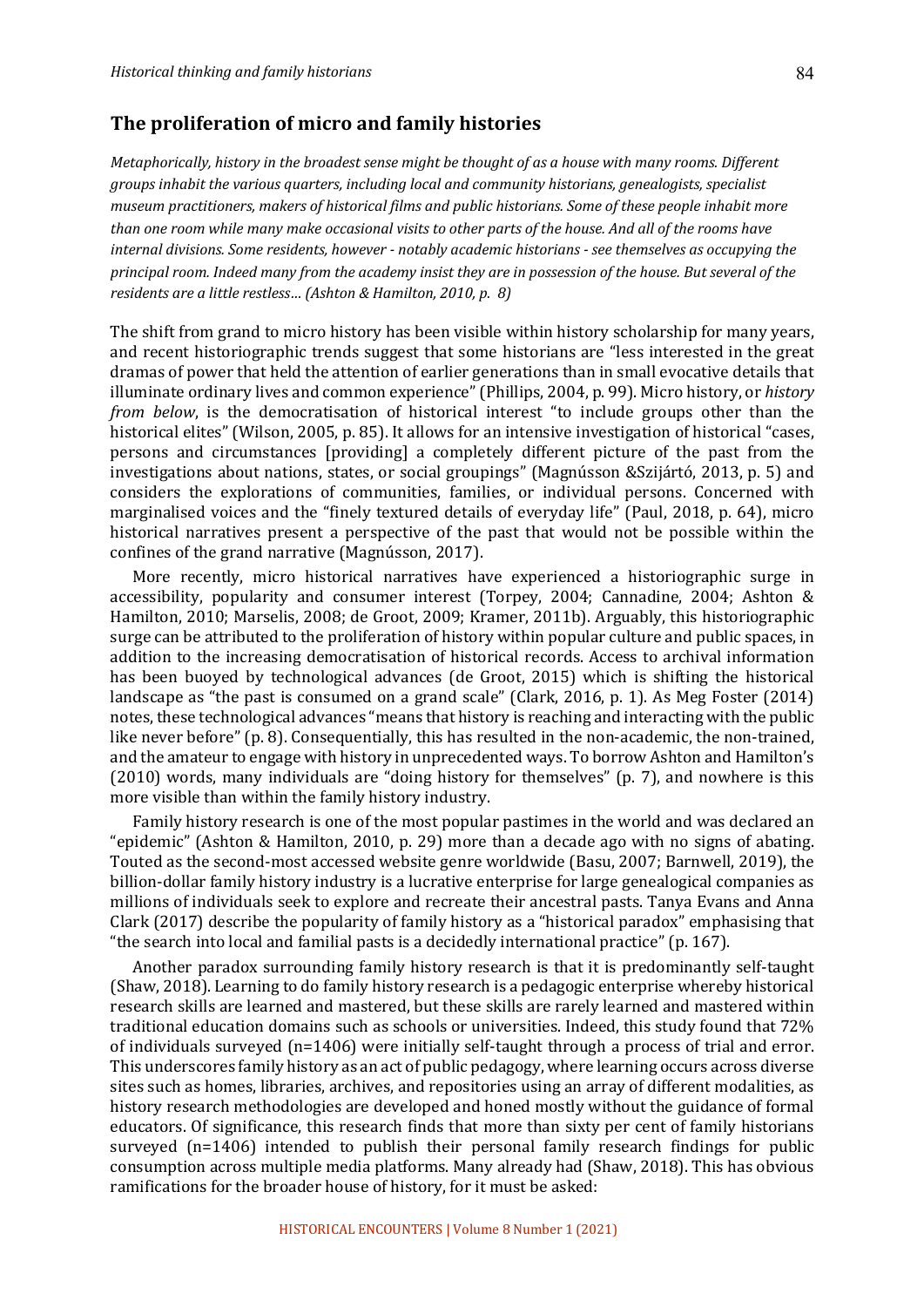## **The proliferation of micro and family histories**

*Metaphorically, history in the broadest sense might be thought of as a house with many rooms. Different groups* inhabit the various quarters, including local and community historians, genealogists, specialist museum practitioners, makers of historical films and public historians. Some of these people inhabit more than one room while many make occasional visits to other parts of the house. And all of the rooms have *internal divisions. Some residents, however - notably academic historians - see themselves as occupying the principal room. Indeed many from the academy insist they are in possession of the house. But several of the residents are a little restless...* (Ashton & Hamilton, 2010, p. 8)

The shift from grand to micro history has been visible within history scholarship for many years, and recent historiographic trends suggest that some historians are "less interested in the great dramas of power that held the attention of earlier generations than in small evocative details that illuminate ordinary lives and common experience" (Phillips, 2004, p. 99). Micro history, or history *from below*, is the democratisation of historical interest "to include groups other than the historical elites" (Wilson, 2005, p. 85). It allows for an intensive investigation of historical "cases, persons and circumstances [providing] a completely different picture of the past from the investigations about nations, states, or social groupings" (Magnússon &Szijártó, 2013, p. 5) and considers the explorations of communities, families, or individual persons. Concerned with marginalised voices and the "finely textured details of everyday life" (Paul, 2018, p. 64), micro historical narratives present a perspective of the past that would not be possible within the confines of the grand narrative (Magnússon, 2017).

More recently, micro historical narratives have experienced a historiographic surge in accessibility, popularity and consumer interest (Torpey, 2004; Cannadine, 2004; Ashton & Hamilton, 2010; Marselis, 2008; de Groot, 2009; Kramer, 2011b). Arguably, this historiographic surge can be attributed to the proliferation of history within popular culture and public spaces, in addition to the increasing democratisation of historical records. Access to archival information has been buoyed by technological advances (de Groot, 2015) which is shifting the historical landscape as "the past is consumed on a grand scale" (Clark, 2016, p. 1). As Meg Foster (2014) notes, these technological advances "means that history is reaching and interacting with the public like never before"  $(p. 8)$ . Consequentially, this has resulted in the non-academic, the non-trained, and the amateur to engage with history in unprecedented ways. To borrow Ashton and Hamilton's (2010) words, many individuals are "doing history for themselves" (p. 7), and nowhere is this more visible than within the family history industry.

Family history research is one of the most popular pastimes in the world and was declared an "epidemic" (Ashton & Hamilton, 2010, p. 29) more than a decade ago with no signs of abating. Touted as the second-most accessed website genre worldwide (Basu, 2007; Barnwell, 2019), the billion-dollar family history industry is a lucrative enterprise for large genealogical companies as millions of individuals seek to explore and recreate their ancestral pasts. Tanya Evans and Anna Clark  $(2017)$  describe the popularity of family history as a "historical paradox" emphasising that "the search into local and familial pasts is a decidedly international practice" (p. 167).

Another paradox surrounding family history research is that it is predominantly self-taught (Shaw, 2018). Learning to do family history research is a pedagogic enterprise whereby historical research skills are learned and mastered, but these skills are rarely learned and mastered within traditional education domains such as schools or universities. Indeed, this study found that 72% of individuals surveyed  $(n=1406)$  were initially self-taught through a process of trial and error. This underscores family history as an act of public pedagogy, where learning occurs across diverse sites such as homes, libraries, archives, and repositories using an array of different modalities, as history research methodologies are developed and honed mostly without the guidance of formal educators. Of significance, this research finds that more than sixty per cent of family historians surveyed (n=1406) intended to publish their personal family research findings for public consumption across multiple media platforms. Many already had (Shaw, 2018). This has obvious ramifications for the broader house of history, for it must be asked: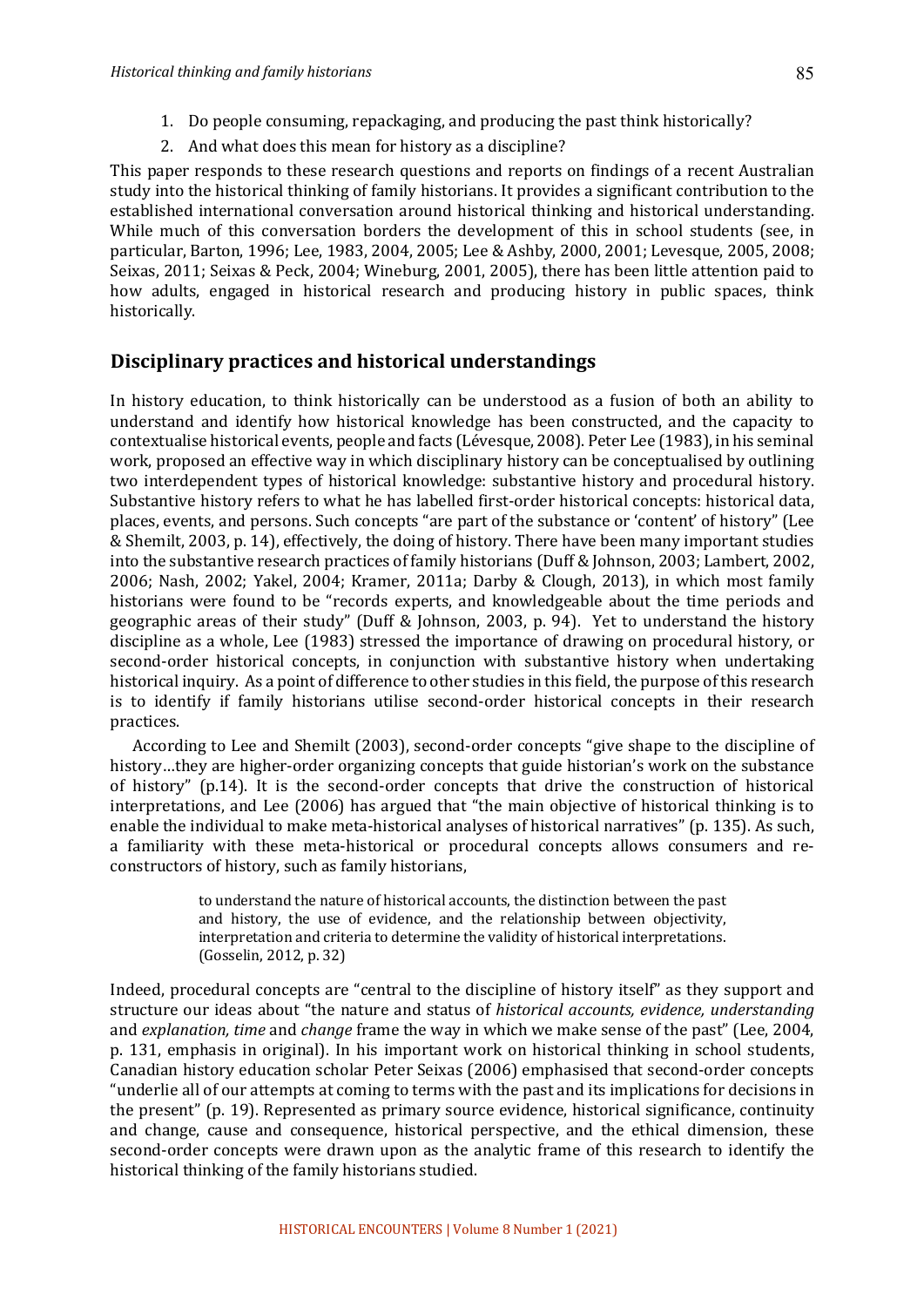- 1. Do people consuming, repackaging, and producing the past think historically?
- 2. And what does this mean for history as a discipline?

This paper responds to these research questions and reports on findings of a recent Australian study into the historical thinking of family historians. It provides a significant contribution to the established international conversation around historical thinking and historical understanding. While much of this conversation borders the development of this in school students (see, in particular, Barton, 1996; Lee, 1983, 2004, 2005; Lee & Ashby, 2000, 2001; Levesque, 2005, 2008; Seixas, 2011; Seixas & Peck, 2004; Wineburg, 2001, 2005), there has been little attention paid to how adults, engaged in historical research and producing history in public spaces, think historically. 

## **Disciplinary practices and historical understandings**

In history education, to think historically can be understood as a fusion of both an ability to understand and identify how historical knowledge has been constructed, and the capacity to contextualise historical events, people and facts (Lévesque, 2008). Peter Lee (1983), in his seminal work, proposed an effective way in which disciplinary history can be conceptualised by outlining two interdependent types of historical knowledge: substantive history and procedural history. Substantive history refers to what he has labelled first-order historical concepts: historical data, places, events, and persons. Such concepts "are part of the substance or 'content' of history" (Lee & Shemilt, 2003, p. 14), effectively, the doing of history. There have been many important studies into the substantive research practices of family historians (Duff & Johnson, 2003; Lambert, 2002, 2006; Nash, 2002; Yakel, 2004; Kramer, 2011a; Darby & Clough, 2013), in which most family historians were found to be "records experts, and knowledgeable about the time periods and geographic areas of their study" (Duff & Johnson, 2003, p. 94). Yet to understand the history discipline as a whole, Lee (1983) stressed the importance of drawing on procedural history, or second-order historical concepts, in conjunction with substantive history when undertaking historical inquiry. As a point of difference to other studies in this field, the purpose of this research is to identify if family historians utilise second-order historical concepts in their research practices. 

According to Lee and Shemilt (2003), second-order concepts "give shape to the discipline of history…they are higher-order organizing concepts that guide historian's work on the substance of history" (p.14). It is the second-order concepts that drive the construction of historical interpretations, and Lee (2006) has argued that "the main objective of historical thinking is to enable the individual to make meta-historical analyses of historical narratives" (p. 135). As such, a familiarity with these meta-historical or procedural concepts allows consumers and reconstructors of history, such as family historians,

> to understand the nature of historical accounts, the distinction between the past and history, the use of evidence, and the relationship between objectivity, interpretation and criteria to determine the validity of historical interpretations. (Gosselin, 2012, p. 32)

Indeed, procedural concepts are "central to the discipline of history itself" as they support and structure our ideas about "the nature and status of *historical accounts, evidence, understanding* and *explanation, time* and *change* frame the way in which we make sense of the past" (Lee, 2004, p. 131, emphasis in original). In his important work on historical thinking in school students, Canadian history education scholar Peter Seixas (2006) emphasised that second-order concepts "underlie all of our attempts at coming to terms with the past and its implications for decisions in the present" (p. 19). Represented as primary source evidence, historical significance, continuity and change, cause and consequence, historical perspective, and the ethical dimension, these second-order concepts were drawn upon as the analytic frame of this research to identify the historical thinking of the family historians studied.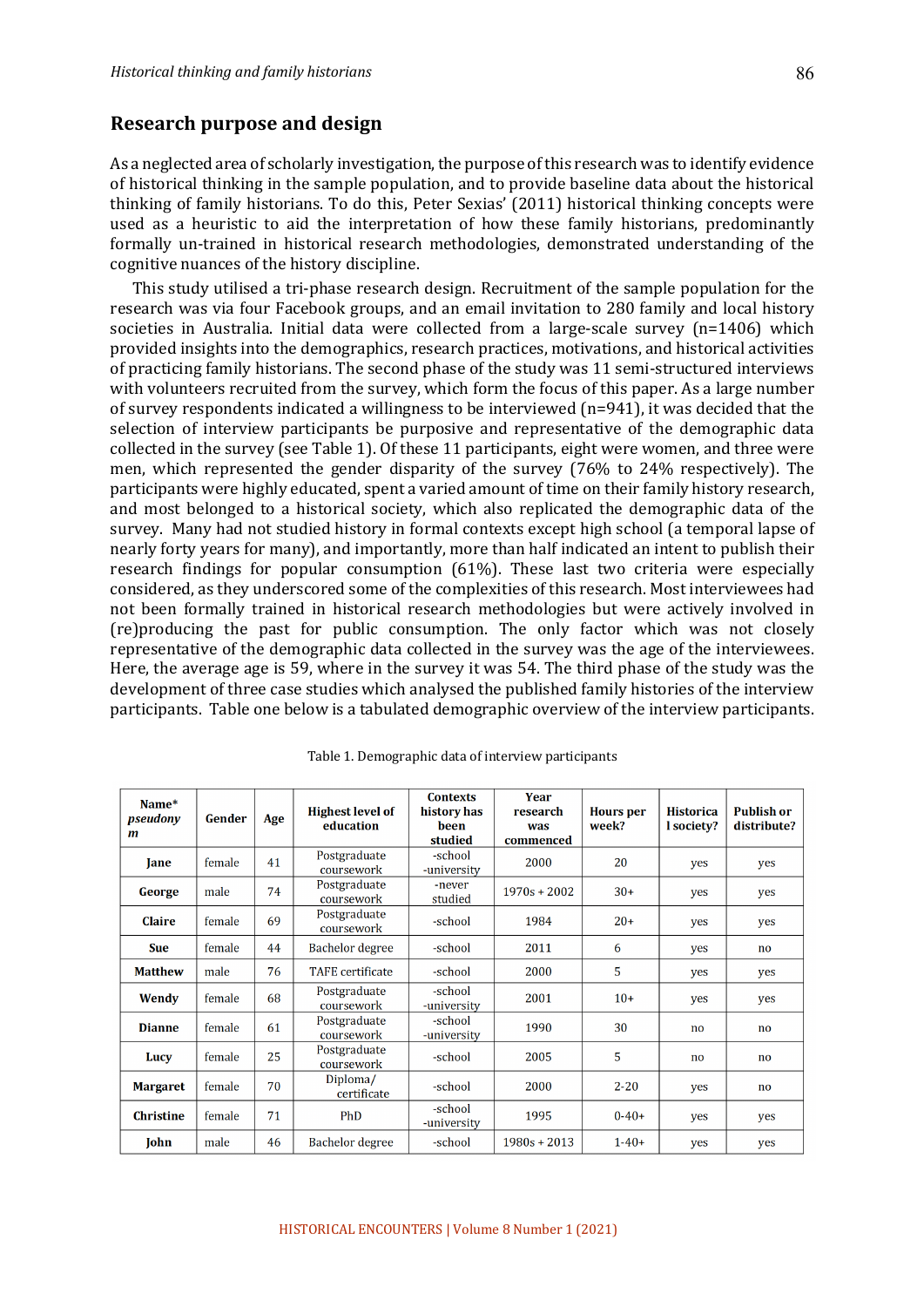# **Research purpose and design**

As a neglected area of scholarly investigation, the purpose of this research was to identify evidence of historical thinking in the sample population, and to provide baseline data about the historical thinking of family historians. To do this, Peter Sexias' (2011) historical thinking concepts were used as a heuristic to aid the interpretation of how these family historians, predominantly formally un-trained in historical research methodologies, demonstrated understanding of the cognitive nuances of the history discipline.

This study utilised a tri-phase research design. Recruitment of the sample population for the research was via four Facebook groups, and an email invitation to 280 family and local history societies in Australia. Initial data were collected from a large-scale survey (n=1406) which provided insights into the demographics, research practices, motivations, and historical activities of practicing family historians. The second phase of the study was 11 semi-structured interviews with volunteers recruited from the survey, which form the focus of this paper. As a large number of survey respondents indicated a willingness to be interviewed  $(n=941)$ , it was decided that the selection of interview participants be purposive and representative of the demographic data collected in the survey (see Table 1). Of these 11 participants, eight were women, and three were men, which represented the gender disparity of the survey (76% to 24% respectively). The participants were highly educated, spent a varied amount of time on their family history research, and most belonged to a historical society, which also replicated the demographic data of the survey. Many had not studied history in formal contexts except high school (a temporal lapse of nearly forty years for many), and importantly, more than half indicated an intent to publish their research findings for popular consumption  $(61%)$ . These last two criteria were especially considered, as they underscored some of the complexities of this research. Most interviewees had not been formally trained in historical research methodologies but were actively involved in (re)producing the past for public consumption. The only factor which was not closely representative of the demographic data collected in the survey was the age of the interviewees. Here, the average age is 59, where in the survey it was 54. The third phase of the study was the development of three case studies which analysed the published family histories of the interview participants. Table one below is a tabulated demographic overview of the interview participants.

| Name*<br>pseudony<br>m | Gender | Age | <b>Highest level of</b><br>education | <b>Contexts</b><br>history has<br>been<br>studied | Year<br>research<br>was<br>commenced | <b>Hours</b> per<br>week? | <b>Historica</b><br>l society? | Publish or<br>distribute? |
|------------------------|--------|-----|--------------------------------------|---------------------------------------------------|--------------------------------------|---------------------------|--------------------------------|---------------------------|
| Jane                   | female | 41  | Postgraduate<br>coursework           | -school<br>-university                            | 2000                                 | 20                        | yes                            | yes                       |
| George                 | male   | 74  | Postgraduate<br>coursework           | -never<br>studied                                 | $1970s + 2002$                       | $30+$                     | yes                            | yes                       |
| <b>Claire</b>          | female | 69  | Postgraduate<br>coursework           | -school                                           | 1984                                 | $20+$                     | yes                            | yes                       |
| <b>Sue</b>             | female | 44  | <b>Bachelor</b> degree               | -school                                           | 2011                                 | 6                         | yes                            | no                        |
| <b>Matthew</b>         | male   | 76  | <b>TAFE</b> certificate              | -school                                           | 2000                                 | 5                         | yes                            | yes                       |
| Wendy                  | female | 68  | Postgraduate<br>coursework           | -school<br>-university                            | 2001                                 | $10+$                     | yes                            | yes                       |
| <b>Dianne</b>          | female | 61  | Postgraduate<br>coursework           | -school<br>-university                            | 1990                                 | 30                        | no                             | no                        |
| Lucy                   | female | 25  | Postgraduate<br>coursework           | -school                                           | 2005                                 | 5                         | no                             | no                        |
| <b>Margaret</b>        | female | 70  | Diploma/<br>certificate              | -school                                           | 2000                                 | $2 - 20$                  | yes                            | no                        |
| <b>Christine</b>       | female | 71  | PhD                                  | -school<br>-university                            | 1995                                 | $0 - 40 +$                | yes                            | yes                       |
| John                   | male   | 46  | <b>Bachelor</b> degree               | -school                                           | $1980s + 2013$                       | $1 - 40 +$                | yes                            | yes                       |

Table 1. Demographic data of interview participants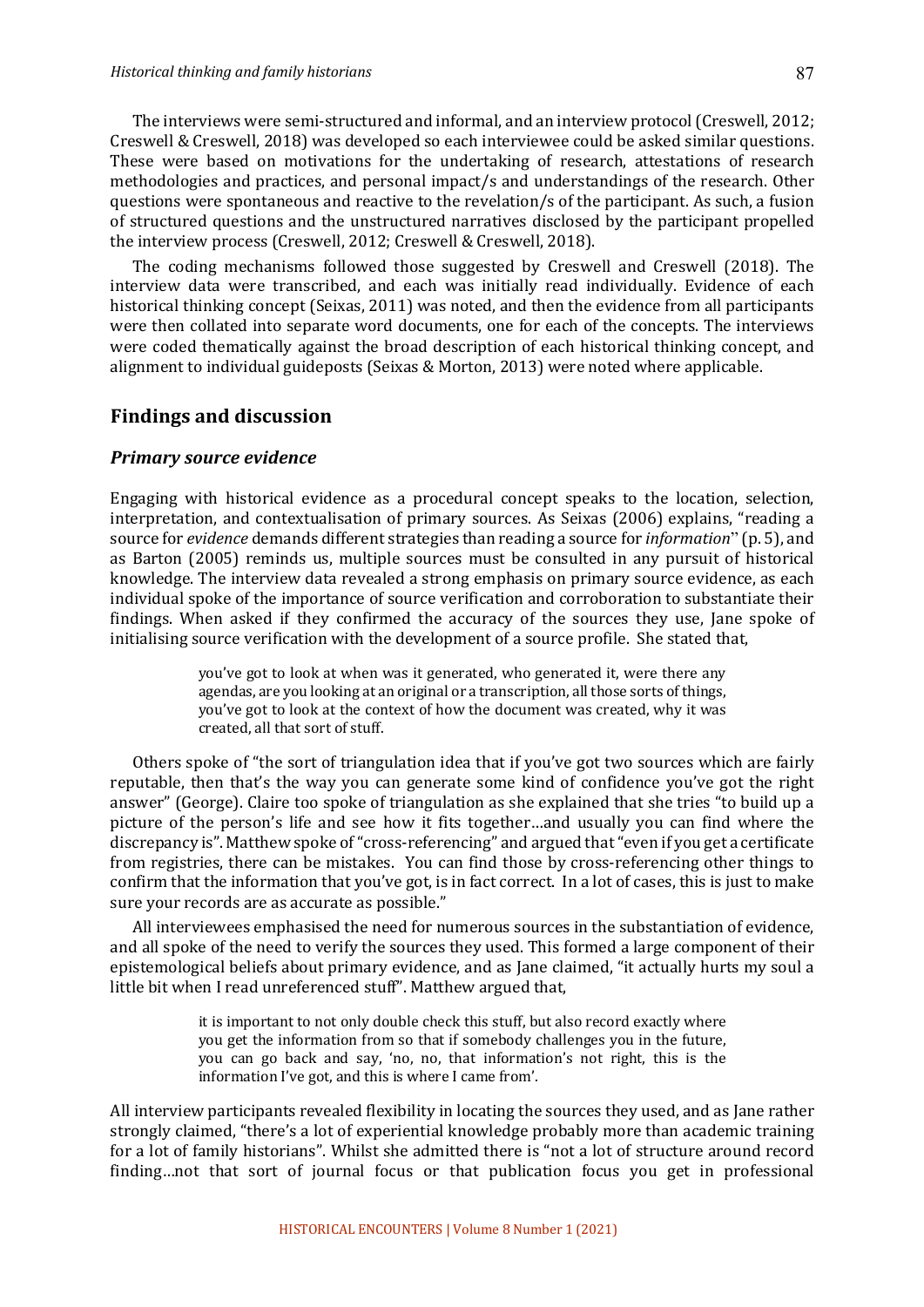The interviews were semi-structured and informal, and an interview protocol (Creswell, 2012; Creswell & Creswell, 2018) was developed so each interviewee could be asked similar questions. These were based on motivations for the undertaking of research, attestations of research methodologies and practices, and personal impact/s and understandings of the research. Other questions were spontaneous and reactive to the revelation/s of the participant. As such, a fusion of structured questions and the unstructured narratives disclosed by the participant propelled the interview process (Creswell, 2012; Creswell & Creswell, 2018).

The coding mechanisms followed those suggested by Creswell and Creswell (2018). The interview data were transcribed, and each was initially read individually. Evidence of each historical thinking concept (Seixas, 2011) was noted, and then the evidence from all participants were then collated into separate word documents, one for each of the concepts. The interviews were coded thematically against the broad description of each historical thinking concept, and alignment to individual guideposts (Seixas & Morton, 2013) were noted where applicable.

#### **Findings and discussion**

#### *Primary source evidence*

Engaging with historical evidence as a procedural concept speaks to the location, selection, interpretation, and contextualisation of primary sources. As Seixas (2006) explains, "reading a source for *evidence* demands different strategies than reading a source for *information*" (p. 5), and as Barton (2005) reminds us, multiple sources must be consulted in any pursuit of historical knowledge. The interview data revealed a strong emphasis on primary source evidence, as each individual spoke of the importance of source verification and corroboration to substantiate their findings. When asked if they confirmed the accuracy of the sources they use, Jane spoke of initialising source verification with the development of a source profile. She stated that,

> you've got to look at when was it generated, who generated it, were there any agendas, are you looking at an original or a transcription, all those sorts of things, you've got to look at the context of how the document was created, why it was created, all that sort of stuff.

Others spoke of "the sort of triangulation idea that if you've got two sources which are fairly reputable, then that's the way you can generate some kind of confidence you've got the right answer" (George). Claire too spoke of triangulation as she explained that she tries "to build up a picture of the person's life and see how it fits together…and usually you can find where the discrepancy is". Matthew spoke of "cross-referencing" and argued that "even if you get a certificate from registries, there can be mistakes. You can find those by cross-referencing other things to confirm that the information that you've got, is in fact correct. In a lot of cases, this is just to make sure your records are as accurate as possible."

All interviewees emphasised the need for numerous sources in the substantiation of evidence, and all spoke of the need to verify the sources they used. This formed a large component of their epistemological beliefs about primary evidence, and as Jane claimed, "it actually hurts my soul a little bit when I read unreferenced stuff". Matthew argued that,

> it is important to not only double check this stuff, but also record exactly where you get the information from so that if somebody challenges you in the future, you can go back and say, 'no, no, that information's not right, this is the information I've got, and this is where I came from'.

All interview participants revealed flexibility in locating the sources they used, and as Jane rather strongly claimed, "there's a lot of experiential knowledge probably more than academic training for a lot of family historians". Whilst she admitted there is "not a lot of structure around record finding...not that sort of journal focus or that publication focus you get in professional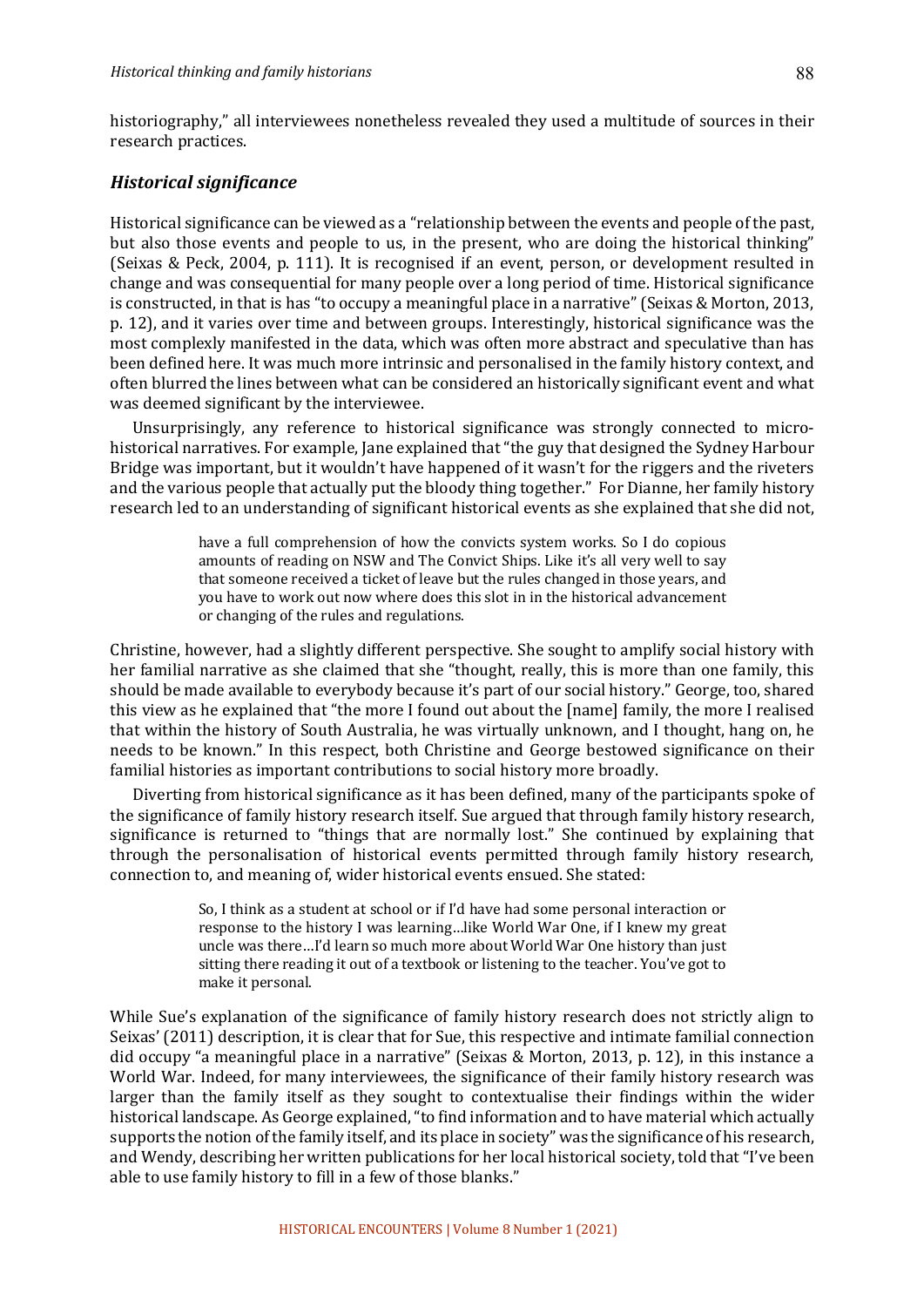historiography," all interviewees nonetheless revealed they used a multitude of sources in their research practices.

## *Historical significance*

Historical significance can be viewed as a "relationship between the events and people of the past, but also those events and people to us, in the present, who are doing the historical thinking" (Seixas & Peck, 2004, p. 111). It is recognised if an event, person, or development resulted in change and was consequential for many people over a long period of time. Historical significance is constructed, in that is has "to occupy a meaningful place in a narrative" (Seixas & Morton, 2013, p. 12), and it varies over time and between groups. Interestingly, historical significance was the most complexly manifested in the data, which was often more abstract and speculative than has been defined here. It was much more intrinsic and personalised in the family history context, and often blurred the lines between what can be considered an historically significant event and what was deemed significant by the interviewee.

Unsurprisingly, any reference to historical significance was strongly connected to microhistorical narratives. For example, Jane explained that "the guy that designed the Sydney Harbour Bridge was important, but it wouldn't have happened of it wasn't for the riggers and the riveters and the various people that actually put the bloody thing together." For Dianne, her family history research led to an understanding of significant historical events as she explained that she did not,

> have a full comprehension of how the convicts system works. So I do copious amounts of reading on NSW and The Convict Ships. Like it's all very well to say that someone received a ticket of leave but the rules changed in those years, and you have to work out now where does this slot in in the historical advancement or changing of the rules and regulations.

Christine, however, had a slightly different perspective. She sought to amplify social history with her familial narrative as she claimed that she "thought, really, this is more than one family, this should be made available to everybody because it's part of our social history." George, too, shared this view as he explained that "the more I found out about the [name] family, the more I realised that within the history of South Australia, he was virtually unknown, and I thought, hang on, he needs to be known." In this respect, both Christine and George bestowed significance on their familial histories as important contributions to social history more broadly.

Diverting from historical significance as it has been defined, many of the participants spoke of the significance of family history research itself. Sue argued that through family history research, significance is returned to "things that are normally lost." She continued by explaining that through the personalisation of historical events permitted through family history research, connection to, and meaning of, wider historical events ensued. She stated:

> So, I think as a student at school or if I'd have had some personal interaction or response to the history I was learning...like World War One, if I knew my great uncle was there...I'd learn so much more about World War One history than just sitting there reading it out of a textbook or listening to the teacher. You've got to make it personal.

While Sue's explanation of the significance of family history research does not strictly align to Seixas' (2011) description, it is clear that for Sue, this respective and intimate familial connection did occupy "a meaningful place in a narrative" (Seixas & Morton, 2013, p. 12), in this instance a World War. Indeed, for many interviewees, the significance of their family history research was larger than the family itself as they sought to contextualise their findings within the wider historical landscape. As George explained, "to find information and to have material which actually supports the notion of the family itself, and its place in society" was the significance of his research, and Wendy, describing her written publications for her local historical society, told that "I've been able to use family history to fill in a few of those blanks."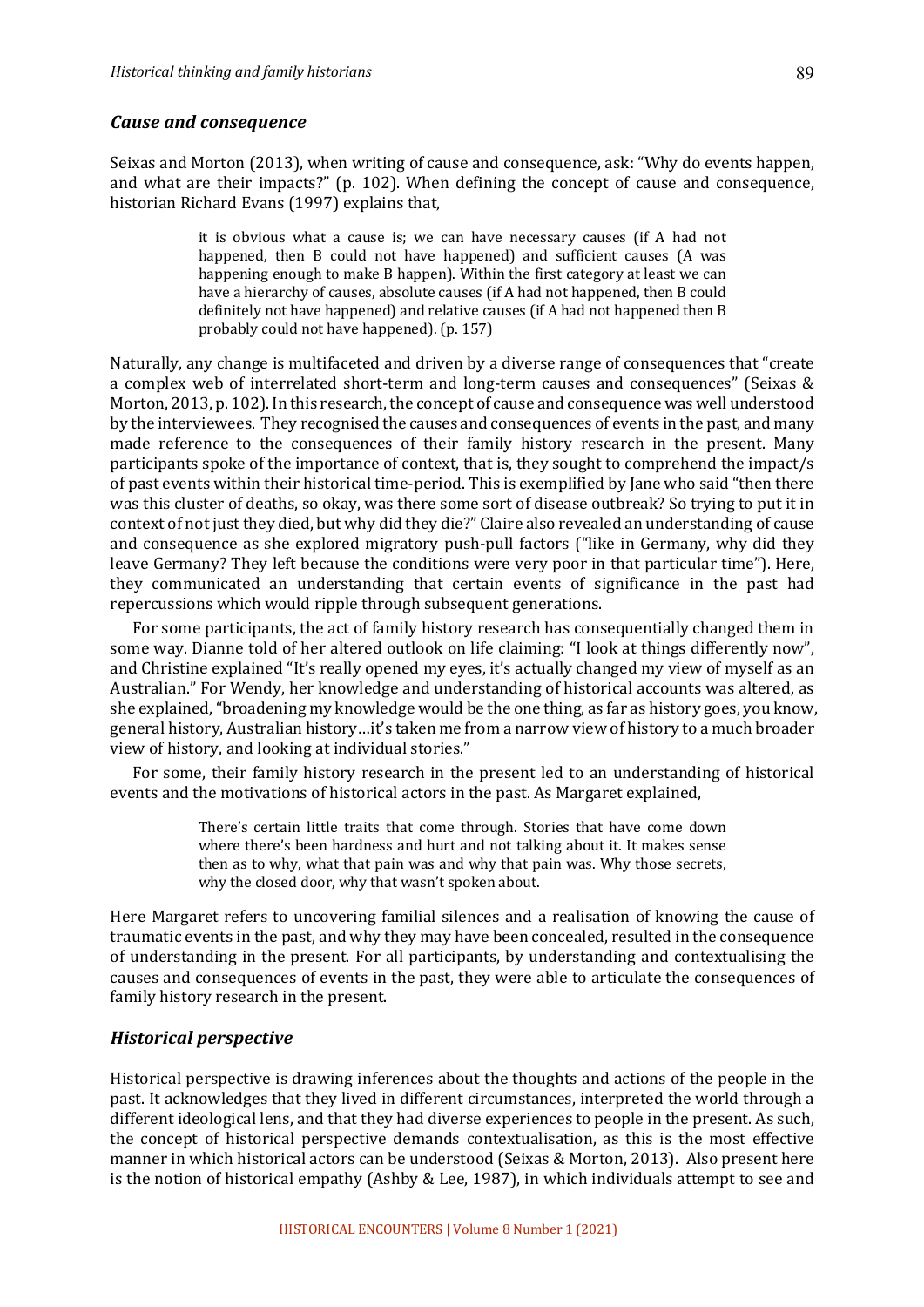#### *Cause and consequence*

Seixas and Morton (2013), when writing of cause and consequence, ask: "Why do events happen, and what are their impacts?" (p. 102). When defining the concept of cause and consequence, historian Richard Evans (1997) explains that,

> it is obvious what a cause is; we can have necessary causes (if A had not happened, then B could not have happened) and sufficient causes (A was happening enough to make B happen). Within the first category at least we can have a hierarchy of causes, absolute causes (if A had not happened, then B could definitely not have happened) and relative causes (if A had not happened then B probably could not have happened). (p. 157)

Naturally, any change is multifaceted and driven by a diverse range of consequences that "create" a complex web of interrelated short-term and long-term causes and consequences" (Seixas & Morton, 2013, p. 102). In this research, the concept of cause and consequence was well understood by the interviewees. They recognised the causes and consequences of events in the past, and many made reference to the consequences of their family history research in the present. Many participants spoke of the importance of context, that is, they sought to comprehend the impact/s of past events within their historical time-period. This is exemplified by Jane who said "then there was this cluster of deaths, so okay, was there some sort of disease outbreak? So trying to put it in context of not just they died, but why did they die?" Claire also revealed an understanding of cause and consequence as she explored migratory push-pull factors ("like in Germany, why did they leave Germany? They left because the conditions were very poor in that particular time"). Here, they communicated an understanding that certain events of significance in the past had repercussions which would ripple through subsequent generations.

For some participants, the act of family history research has consequentially changed them in some way. Dianne told of her altered outlook on life claiming: "I look at things differently now", and Christine explained "It's really opened my eyes, it's actually changed my view of myself as an Australian." For Wendy, her knowledge and understanding of historical accounts was altered, as she explained, "broadening my knowledge would be the one thing, as far as history goes, you know, general history, Australian history...it's taken me from a narrow view of history to a much broader view of history, and looking at individual stories."

For some, their family history research in the present led to an understanding of historical events and the motivations of historical actors in the past. As Margaret explained,

> There's certain little traits that come through. Stories that have come down where there's been hardness and hurt and not talking about it. It makes sense then as to why, what that pain was and why that pain was. Why those secrets, why the closed door, why that wasn't spoken about.

Here Margaret refers to uncovering familial silences and a realisation of knowing the cause of traumatic events in the past, and why they may have been concealed, resulted in the consequence of understanding in the present. For all participants, by understanding and contextualising the causes and consequences of events in the past, they were able to articulate the consequences of family history research in the present.

#### *Historical perspective*

Historical perspective is drawing inferences about the thoughts and actions of the people in the past. It acknowledges that they lived in different circumstances, interpreted the world through a different ideological lens, and that they had diverse experiences to people in the present. As such, the concept of historical perspective demands contextualisation, as this is the most effective manner in which historical actors can be understood (Seixas & Morton, 2013). Also present here is the notion of historical empathy (Ashby & Lee, 1987), in which individuals attempt to see and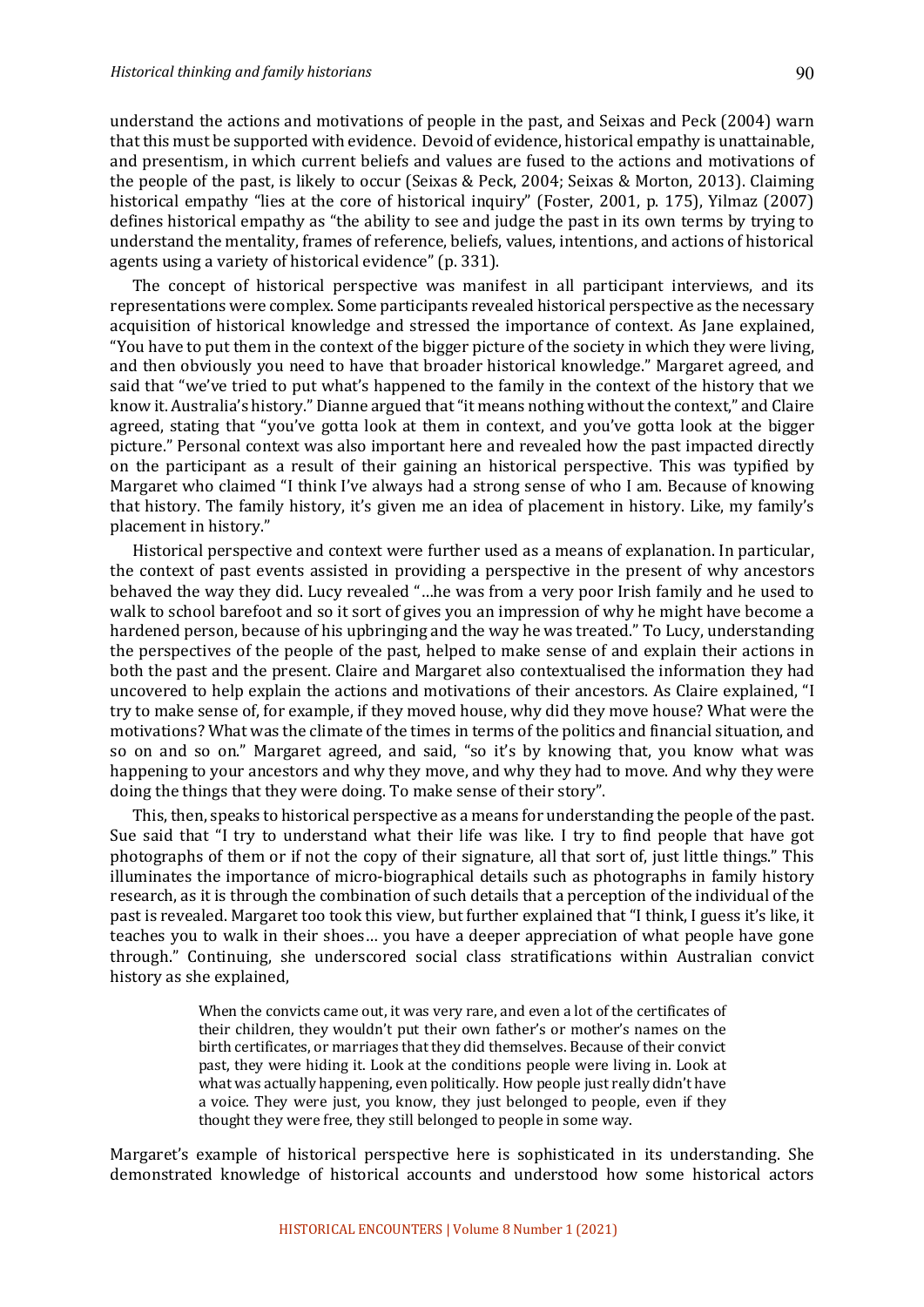understand the actions and motivations of people in the past, and Seixas and Peck (2004) warn that this must be supported with evidence. Devoid of evidence, historical empathy is unattainable, and presentism, in which current beliefs and values are fused to the actions and motivations of the people of the past, is likely to occur (Seixas & Peck, 2004; Seixas & Morton, 2013). Claiming historical empathy "lies at the core of historical inquiry" (Foster, 2001, p. 175), Yilmaz (2007) defines historical empathy as "the ability to see and judge the past in its own terms by trying to understand the mentality, frames of reference, beliefs, values, intentions, and actions of historical agents using a variety of historical evidence" (p. 331).

The concept of historical perspective was manifest in all participant interviews, and its representations were complex. Some participants revealed historical perspective as the necessary acquisition of historical knowledge and stressed the importance of context. As Jane explained, "You have to put them in the context of the bigger picture of the society in which they were living, and then obviously you need to have that broader historical knowledge." Margaret agreed, and said that "we've tried to put what's happened to the family in the context of the history that we know it. Australia's history." Dianne argued that "it means nothing without the context," and Claire agreed, stating that "you've gotta look at them in context, and you've gotta look at the bigger picture." Personal context was also important here and revealed how the past impacted directly on the participant as a result of their gaining an historical perspective. This was typified by Margaret who claimed "I think I've always had a strong sense of who I am. Because of knowing that history. The family history, it's given me an idea of placement in history. Like, my family's placement in history."

Historical perspective and context were further used as a means of explanation. In particular, the context of past events assisted in providing a perspective in the present of why ancestors behaved the way they did. Lucy revealed "...he was from a very poor Irish family and he used to walk to school barefoot and so it sort of gives you an impression of why he might have become a hardened person, because of his upbringing and the way he was treated." To Lucy, understanding the perspectives of the people of the past, helped to make sense of and explain their actions in both the past and the present. Claire and Margaret also contextualised the information they had uncovered to help explain the actions and motivations of their ancestors. As Claire explained, "I try to make sense of, for example, if they moved house, why did they move house? What were the motivations? What was the climate of the times in terms of the politics and financial situation, and so on and so on." Margaret agreed, and said, "so it's by knowing that, you know what was happening to your ancestors and why they move, and why they had to move. And why they were doing the things that they were doing. To make sense of their story".

This, then, speaks to historical perspective as a means for understanding the people of the past. Sue said that "I try to understand what their life was like. I try to find people that have got photographs of them or if not the copy of their signature, all that sort of, just little things." This illuminates the importance of micro-biographical details such as photographs in family history research, as it is through the combination of such details that a perception of the individual of the past is revealed. Margaret too took this view, but further explained that "I think, I guess it's like, it teaches you to walk in their shoes... you have a deeper appreciation of what people have gone through." Continuing, she underscored social class stratifications within Australian convict history as she explained,

> When the convicts came out, it was very rare, and even a lot of the certificates of their children, they wouldn't put their own father's or mother's names on the birth certificates, or marriages that they did themselves. Because of their convict past, they were hiding it. Look at the conditions people were living in. Look at what was actually happening, even politically. How people just really didn't have a voice. They were just, you know, they just belonged to people, even if they thought they were free, they still belonged to people in some way.

Margaret's example of historical perspective here is sophisticated in its understanding. She demonstrated knowledge of historical accounts and understood how some historical actors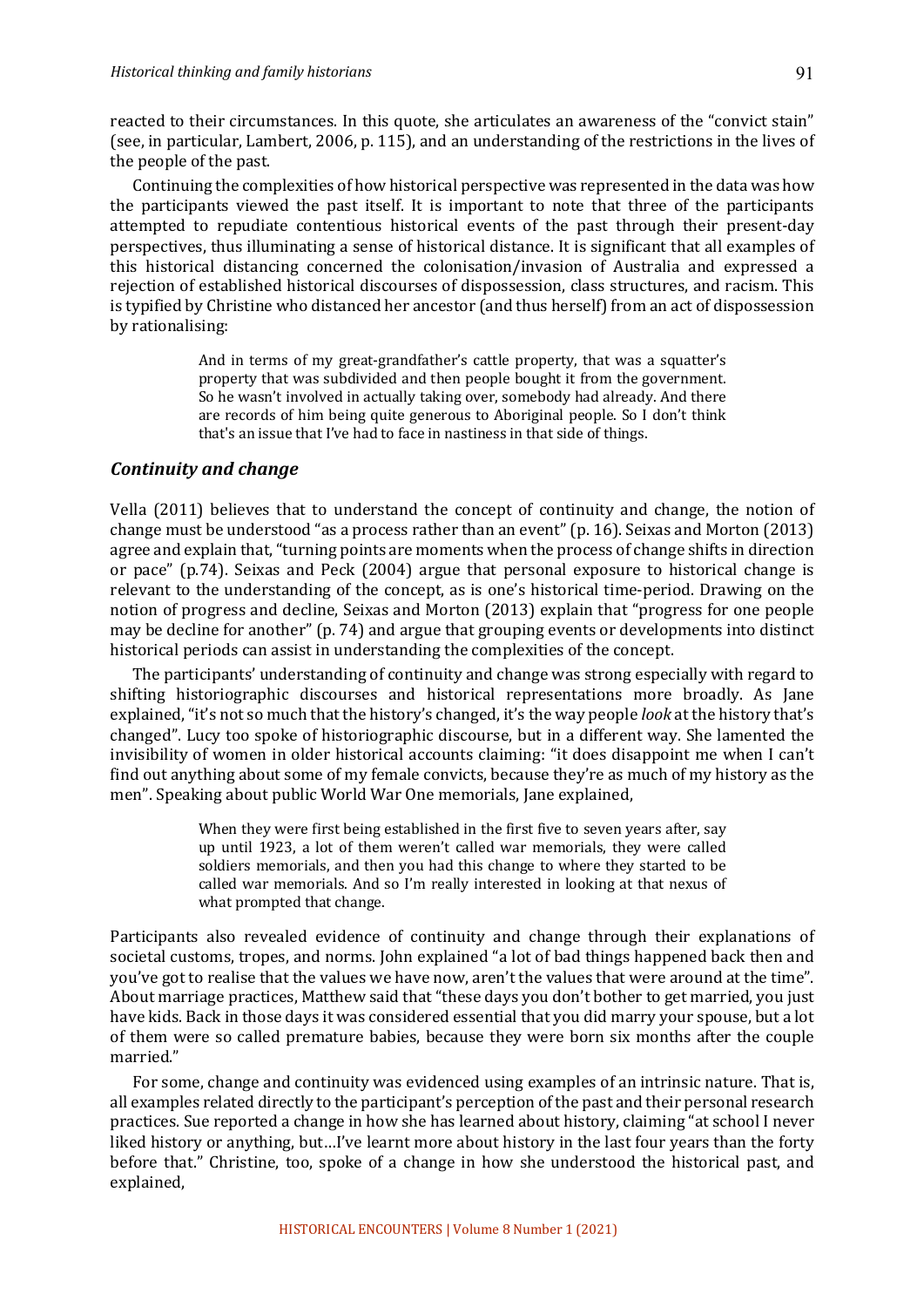reacted to their circumstances. In this quote, she articulates an awareness of the "convict stain" (see, in particular, Lambert, 2006, p. 115), and an understanding of the restrictions in the lives of the people of the past.

Continuing the complexities of how historical perspective was represented in the data was how the participants viewed the past itself. It is important to note that three of the participants attempted to repudiate contentious historical events of the past through their present-day perspectives, thus illuminating a sense of historical distance. It is significant that all examples of this historical distancing concerned the colonisation/invasion of Australia and expressed a rejection of established historical discourses of dispossession, class structures, and racism. This is typified by Christine who distanced her ancestor (and thus herself) from an act of dispossession by rationalising:

> And in terms of my great-grandfather's cattle property, that was a squatter's property that was subdivided and then people bought it from the government. So he wasn't involved in actually taking over, somebody had already. And there are records of him being quite generous to Aboriginal people. So I don't think that's an issue that I've had to face in nastiness in that side of things.

## *Continuity and change*

Vella  $(2011)$  believes that to understand the concept of continuity and change, the notion of change must be understood "as a process rather than an event"  $(p. 16)$ . Seixas and Morton  $(2013)$ agree and explain that, "turning points are moments when the process of change shifts in direction or pace" (p.74). Seixas and Peck (2004) argue that personal exposure to historical change is relevant to the understanding of the concept, as is one's historical time-period. Drawing on the notion of progress and decline, Seixas and Morton (2013) explain that "progress for one people may be decline for another" (p. 74) and argue that grouping events or developments into distinct historical periods can assist in understanding the complexities of the concept.

The participants' understanding of continuity and change was strong especially with regard to shifting historiographic discourses and historical representations more broadly. As Jane explained, "it's not so much that the history's changed, it's the way people *look* at the history that's changed". Lucy too spoke of historiographic discourse, but in a different way. She lamented the invisibility of women in older historical accounts claiming: "it does disappoint me when I can't find out anything about some of my female convicts, because they're as much of my history as the men". Speaking about public World War One memorials, Jane explained,

> When they were first being established in the first five to seven years after, say up until 1923, a lot of them weren't called war memorials, they were called soldiers memorials, and then you had this change to where they started to be called war memorials. And so I'm really interested in looking at that nexus of what prompted that change.

Participants also revealed evidence of continuity and change through their explanations of societal customs, tropes, and norms. John explained "a lot of bad things happened back then and you've got to realise that the values we have now, aren't the values that were around at the time". About marriage practices, Matthew said that "these days you don't bother to get married, you just have kids. Back in those days it was considered essential that you did marry your spouse, but a lot of them were so called premature babies, because they were born six months after the couple married." 

For some, change and continuity was evidenced using examples of an intrinsic nature. That is, all examples related directly to the participant's perception of the past and their personal research practices. Sue reported a change in how she has learned about history, claiming "at school I never liked history or anything, but...I've learnt more about history in the last four years than the forty before that." Christine, too, spoke of a change in how she understood the historical past, and explained,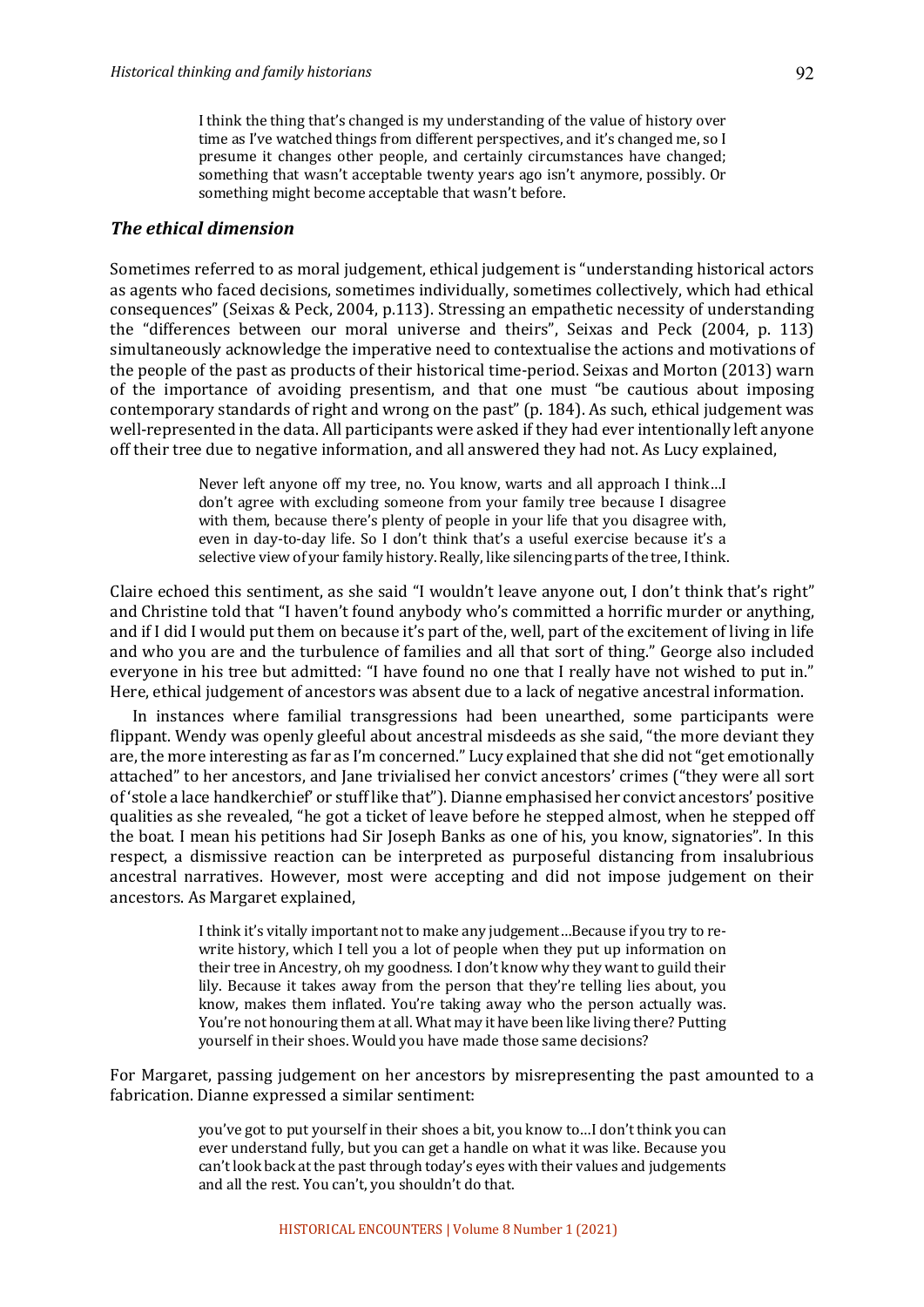I think the thing that's changed is my understanding of the value of history over time as I've watched things from different perspectives, and it's changed me, so I presume it changes other people, and certainly circumstances have changed; something that wasn't acceptable twenty years ago isn't anymore, possibly. Or something might become acceptable that wasn't before.

## *The ethical dimension*

Sometimes referred to as moral judgement, ethical judgement is "understanding historical actors" as agents who faced decisions, sometimes individually, sometimes collectively, which had ethical consequences" (Seixas & Peck, 2004, p.113). Stressing an empathetic necessity of understanding the "differences between our moral universe and theirs", Seixas and Peck (2004, p. 113) simultaneously acknowledge the imperative need to contextualise the actions and motivations of the people of the past as products of their historical time-period. Seixas and Morton (2013) warn of the importance of avoiding presentism, and that one must "be cautious about imposing contemporary standards of right and wrong on the past" (p. 184). As such, ethical judgement was well-represented in the data. All participants were asked if they had ever intentionally left anyone off their tree due to negative information, and all answered they had not. As Lucy explained,

> Never left anyone off my tree, no. You know, warts and all approach I think...I don't agree with excluding someone from your family tree because I disagree with them, because there's plenty of people in your life that you disagree with, even in day-to-day life. So I don't think that's a useful exercise because it's a selective view of your family history. Really, like silencing parts of the tree, I think.

Claire echoed this sentiment, as she said "I wouldn't leave anyone out. I don't think that's right" and Christine told that "I haven't found anybody who's committed a horrific murder or anything, and if I did I would put them on because it's part of the, well, part of the excitement of living in life and who you are and the turbulence of families and all that sort of thing." George also included everyone in his tree but admitted: "I have found no one that I really have not wished to put in." Here, ethical judgement of ancestors was absent due to a lack of negative ancestral information.

In instances where familial transgressions had been unearthed, some participants were flippant. Wendy was openly gleeful about ancestral misdeeds as she said, "the more deviant they are, the more interesting as far as I'm concerned." Lucy explained that she did not "get emotionally attached" to her ancestors, and Iane trivialised her convict ancestors' crimes ("they were all sort of 'stole a lace handkerchief' or stuff like that"). Dianne emphasised her convict ancestors' positive qualities as she revealed, "he got a ticket of leave before he stepped almost, when he stepped off the boat. I mean his petitions had Sir Joseph Banks as one of his, you know, signatories". In this respect, a dismissive reaction can be interpreted as purposeful distancing from insalubrious ancestral narratives. However, most were accepting and did not impose judgement on their ancestors. As Margaret explained,

> I think it's vitally important not to make any judgement...Because if you try to rewrite history, which I tell you a lot of people when they put up information on their tree in Ancestry, oh my goodness. I don't know why they want to guild their lily. Because it takes away from the person that they're telling lies about, you know, makes them inflated. You're taking away who the person actually was. You're not honouring them at all. What may it have been like living there? Putting yourself in their shoes. Would you have made those same decisions?

For Margaret, passing judgement on her ancestors by misrepresenting the past amounted to a fabrication. Dianne expressed a similar sentiment:

> you've got to put yourself in their shoes a bit, you know to...I don't think you can ever understand fully, but you can get a handle on what it was like. Because you can't look back at the past through today's eyes with their values and judgements and all the rest. You can't, you shouldn't do that.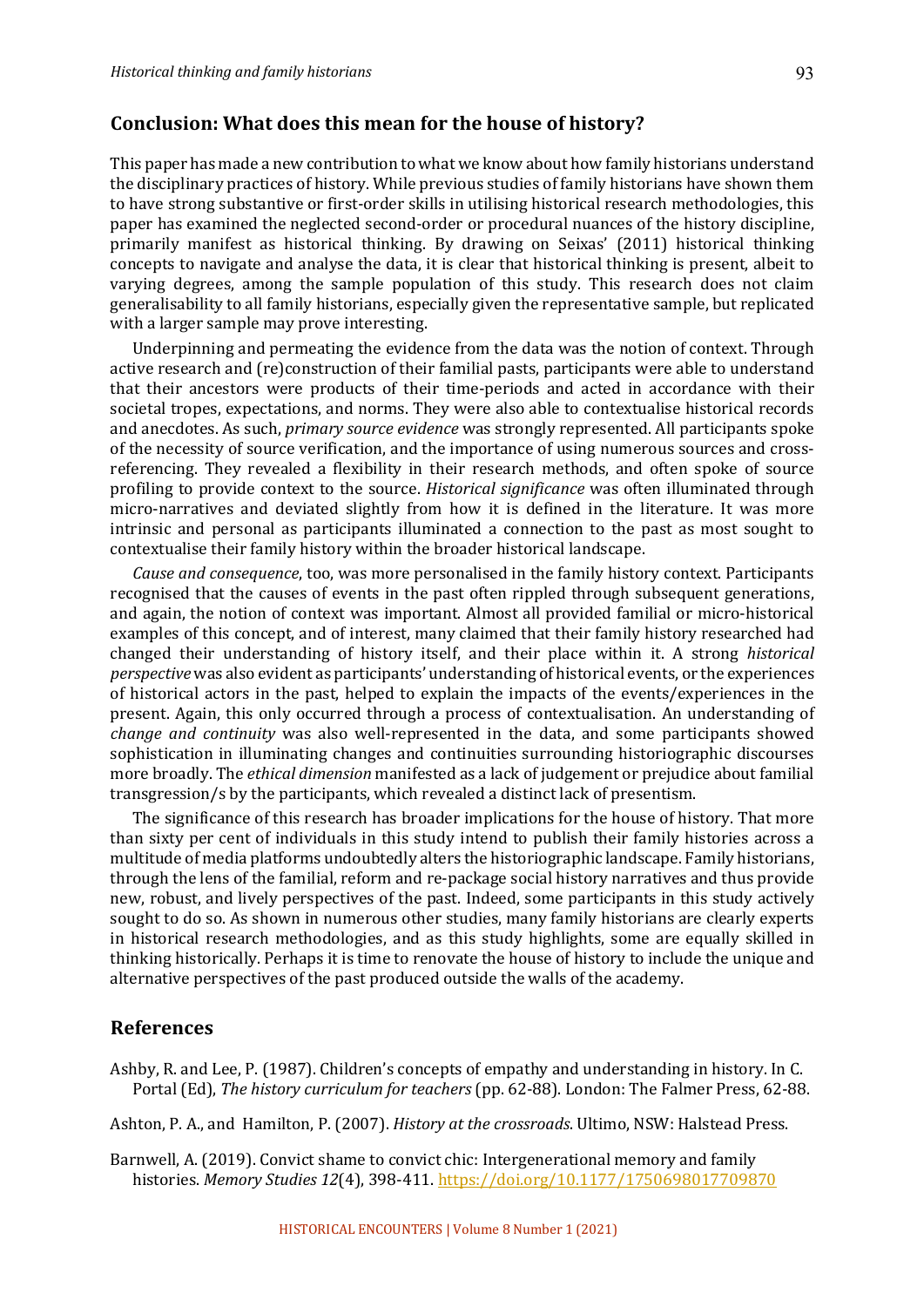# Conclusion: What does this mean for the house of history?

This paper has made a new contribution to what we know about how family historians understand the disciplinary practices of history. While previous studies of family historians have shown them to have strong substantive or first-order skills in utilising historical research methodologies, this paper has examined the neglected second-order or procedural nuances of the history discipline, primarily manifest as historical thinking. By drawing on Seixas' (2011) historical thinking concepts to navigate and analyse the data, it is clear that historical thinking is present, albeit to varying degrees, among the sample population of this study. This research does not claim generalisability to all family historians, especially given the representative sample, but replicated with a larger sample may prove interesting.

Underpinning and permeating the evidence from the data was the notion of context. Through active research and (re)construction of their familial pasts, participants were able to understand that their ancestors were products of their time-periods and acted in accordance with their societal tropes, expectations, and norms. They were also able to contextualise historical records and anecdotes. As such, *primary source evidence* was strongly represented. All participants spoke of the necessity of source verification, and the importance of using numerous sources and crossreferencing. They revealed a flexibility in their research methods, and often spoke of source profiling to provide context to the source. *Historical significance* was often illuminated through micro-narratives and deviated slightly from how it is defined in the literature. It was more intrinsic and personal as participants illuminated a connection to the past as most sought to contextualise their family history within the broader historical landscape.

*Cause and consequence*, too, was more personalised in the family history context. Participants recognised that the causes of events in the past often rippled through subsequent generations, and again, the notion of context was important. Almost all provided familial or micro-historical examples of this concept, and of interest, many claimed that their family history researched had changed their understanding of history itself, and their place within it. A strong *historical perspective* was also evident as participants' understanding of historical events, or the experiences of historical actors in the past, helped to explain the impacts of the events/experiences in the present. Again, this only occurred through a process of contextualisation. An understanding of *change and continuity* was also well-represented in the data, and some participants showed sophistication in illuminating changes and continuities surrounding historiographic discourses more broadly. The *ethical dimension* manifested as a lack of judgement or prejudice about familial transgression/s by the participants, which revealed a distinct lack of presentism.

The significance of this research has broader implications for the house of history. That more than sixty per cent of individuals in this study intend to publish their family histories across a multitude of media platforms undoubtedly alters the historiographic landscape. Family historians, through the lens of the familial, reform and re-package social history narratives and thus provide new, robust, and lively perspectives of the past. Indeed, some participants in this study actively sought to do so. As shown in numerous other studies, many family historians are clearly experts in historical research methodologies, and as this study highlights, some are equally skilled in thinking historically. Perhaps it is time to renovate the house of history to include the unique and alternative perspectives of the past produced outside the walls of the academy.

### **References**

Ashby, R. and Lee, P. (1987). Children's concepts of empathy and understanding in history. In C. Portal (Ed), *The history curriculum for teachers* (pp. 62-88). London: The Falmer Press, 62-88.

Ashton, P. A., and Hamilton, P. (2007). *History at the crossroads*. Ultimo, NSW: Halstead Press.

Barnwell, A. (2019). Convict shame to convict chic: Intergenerational memory and family histories. *Memory Studies 12*(4), 398-411. https://doi.org/10.1177/1750698017709870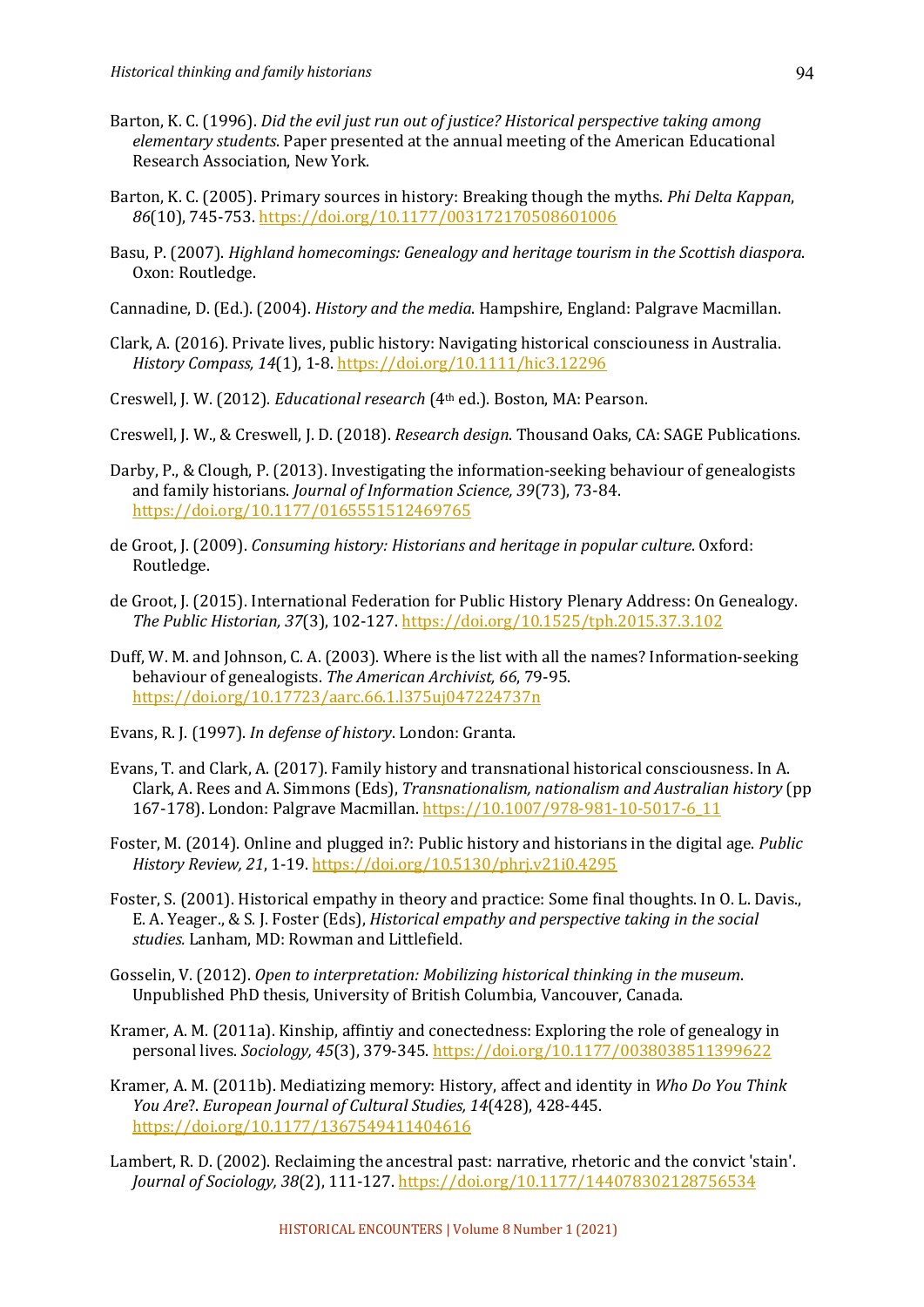- Barton, K. C. (1996). *Did the evil just run out of justice?* Historical perspective taking among *elementary students*. Paper presented at the annual meeting of the American Educational Research Association, New York.
- Barton, K. C. (2005). Primary sources in history: Breaking though the myths. *Phi Delta Kappan*, *86*(10), 745-753. https://doi.org/10.1177/003172170508601006
- Basu, P. (2007). *Highland homecomings: Genealogy and heritage tourism in the Scottish diaspora.* Oxon: Routledge.
- Cannadine, D. (Ed.). (2004). *History and the media*. Hampshire, England: Palgrave Macmillan.
- Clark, A. (2016). Private lives, public history: Navigating historical consciouness in Australia. *History Compass, 14*(1), 1-8. https://doi.org/10.1111/hic3.12296
- Creswell, J. W. (2012). *Educational research* (4<sup>th</sup> ed.). Boston, MA: Pearson.
- Creswell, J. W., & Creswell, J. D. (2018). *Research design*. Thousand Oaks, CA: SAGE Publications.
- Darby, P., & Clough, P. (2013). Investigating the information-seeking behaviour of genealogists and family historians. *Journal of Information Science*, 39(73), 73-84. https://doi.org/10.1177/0165551512469765
- de Groot, J. (2009). *Consuming history: Historians and heritage in popular culture*. Oxford: Routledge.
- de Groot, J. (2015). International Federation for Public History Plenary Address: On Genealogy. *The Public Historian, 37*(3), 102-127. https://doi.org/10.1525/tph.2015.37.3.102
- Duff, W. M. and Johnson, C. A. (2003). Where is the list with all the names? Information-seeking behaviour of genealogists. The American Archivist, 66, 79-95. https://doi.org/10.17723/aarc.66.1.l375uj047224737n
- Evans, R. J. (1997). *In defense of history*. London: Granta.
- Evans, T. and Clark, A. (2017). Family history and transnational historical consciousness. In A. Clark, A. Rees and A. Simmons (Eds), *Transnationalism, nationalism and Australian history* (pp 167-178). London: Palgrave Macmillan. https://10.1007/978-981-10-5017-6\_11
- Foster, M. (2014). Online and plugged in?: Public history and historians in the digital age. *Public History Review, 21*, 1-19. https://doi.org/10.5130/phrj.v21i0.4295
- Foster, S. (2001). Historical empathy in theory and practice: Some final thoughts. In O. L. Davis., E. A. Yeager., & S. J. Foster (Eds), *Historical empathy and perspective taking in the social* studies. Lanham, MD: Rowman and Littlefield.
- Gosselin, V. (2012). Open to interpretation: Mobilizing historical thinking in the museum. Unpublished PhD thesis, University of British Columbia, Vancouver, Canada.
- Kramer, A. M. (2011a). Kinship, affintiy and conectedness: Exploring the role of genealogy in personal lives. *Sociology, 45*(3), 379-345. https://doi.org/10.1177/0038038511399622
- Kramer, A. M. (2011b). Mediatizing memory: History, affect and identity in *Who Do You Think You Are?. European Journal of Cultural Studies, 14*(428), 428-445. https://doi.org/10.1177/1367549411404616

Lambert, R. D. (2002). Reclaiming the ancestral past: narrative, rhetoric and the convict 'stain'. *Journal of Sociology, 38*(2), 111-127. https://doi.org/10.1177/144078302128756534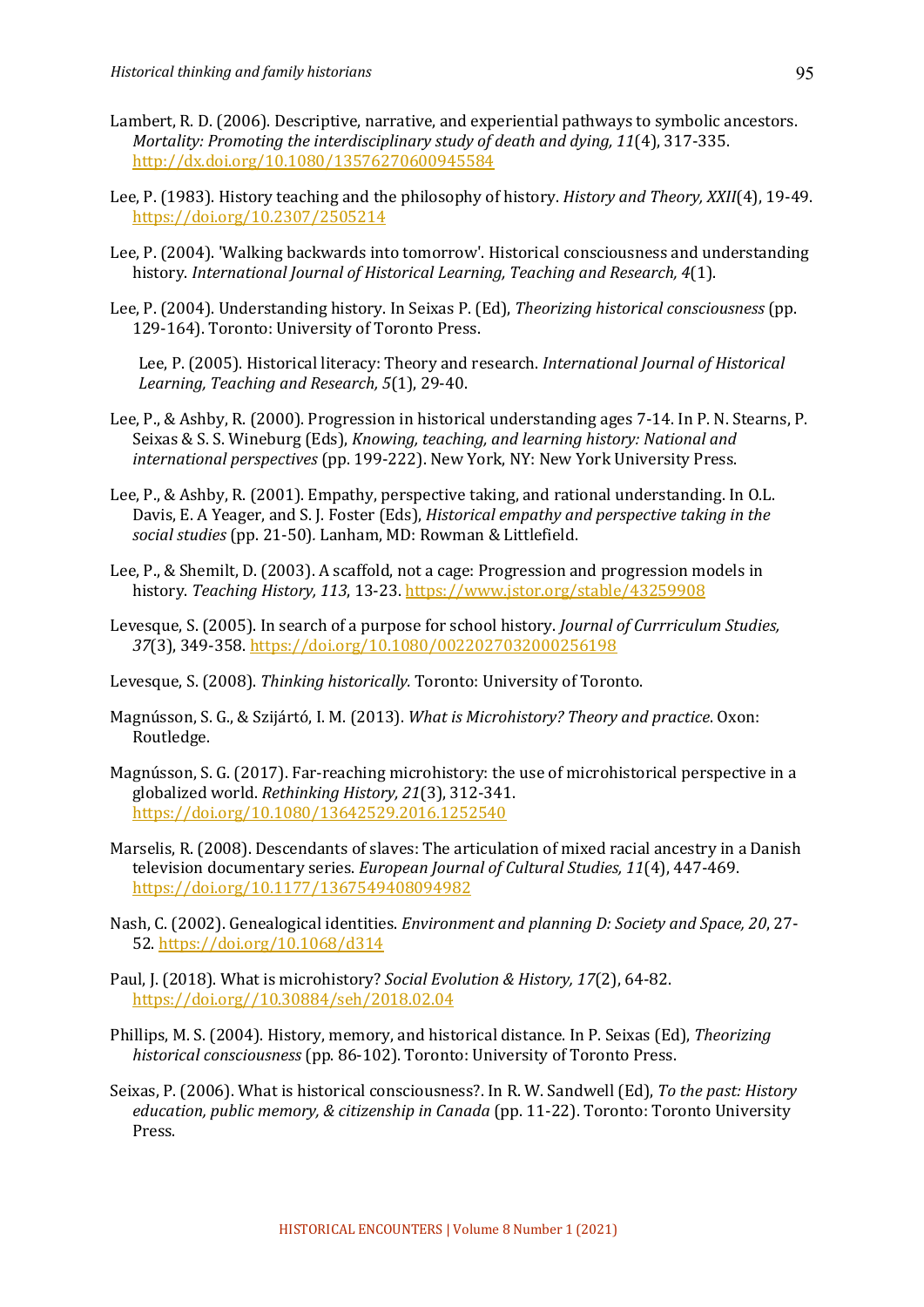- Lambert, R. D. (2006). Descriptive, narrative, and experiential pathways to symbolic ancestors. *Mortality: Promoting the interdisciplinary study of death and dying, 11*(4), 317-335. http://dx.doi.org/10.1080/13576270600945584
- Lee, P. (1983). History teaching and the philosophy of history. *History and Theory, XXII*(4), 19-49. https://doi.org/10.2307/2505214
- Lee, P. (2004). 'Walking backwards into tomorrow'. Historical consciousness and understanding history. *International Journal of Historical Learning, Teaching and Research, 4*(1).
- Lee, P. (2004). Understanding history. In Seixas P. (Ed), *Theorizing historical consciousness* (pp. 129-164). Toronto: University of Toronto Press.

Lee, P. (2005). Historical literacy: Theory and research. *International Journal of Historical* Learning, Teaching and Research, 5(1), 29-40.

- Lee, P., & Ashby, R. (2000). Progression in historical understanding ages 7-14. In P. N. Stearns, P. Seixas & S. S. Wineburg (Eds), *Knowing, teaching, and learning history: National and* international perspectives (pp. 199-222). New York, NY: New York University Press.
- Lee, P., & Ashby, R. (2001). Empathy, perspective taking, and rational understanding. In O.L. Davis, E. A Yeager, and S. J. Foster (Eds), *Historical empathy and perspective taking in the* social studies (pp. 21-50). Lanham, MD: Rowman & Littlefield.
- Lee, P., & Shemilt, D. (2003). A scaffold, not a cage: Progression and progression models in history. *Teaching History, 113, 13-23.* https://www.jstor.org/stable/43259908
- Levesque, S. (2005). In search of a purpose for school history. *Journal of Currriculum Studies*, 37(3), 349-358. https://doi.org/10.1080/0022027032000256198
- Levesque, S. (2008). Thinking historically. Toronto: University of Toronto.
- Magnússon, S. G., & Szijártó, I. M. (2013). *What is Microhistory? Theory and practice*. Oxon: Routledge.
- Magnússon, S. G. (2017). Far-reaching microhistory: the use of microhistorical perspective in a globalized world. *Rethinking History, 21*(3), 312-341. https://doi.org/10.1080/13642529.2016.1252540
- Marselis, R. (2008). Descendants of slaves: The articulation of mixed racial ancestry in a Danish television documentary series. *European Journal of Cultural Studies, 11*(4), 447-469. https://doi.org/10.1177/1367549408094982
- Nash, C. (2002). Genealogical identities. *Environment and planning D: Society and Space, 20*, 27-52. https://doi.org/10.1068/d314
- Paul, J. (2018). What is microhistory? *Social Evolution & History, 17*(2), 64-82. https://doi.org//10.30884/seh/2018.02.04
- Phillips, M. S. (2004). History, memory, and historical distance. In P. Seixas (Ed), Theorizing historical consciousness (pp. 86-102). Toronto: University of Toronto Press.
- Seixas, P. (2006). What is historical consciousness?. In R. W. Sandwell (Ed), To the past: History education, public memory, & citizenship in Canada (pp. 11-22). Toronto: Toronto University Press.